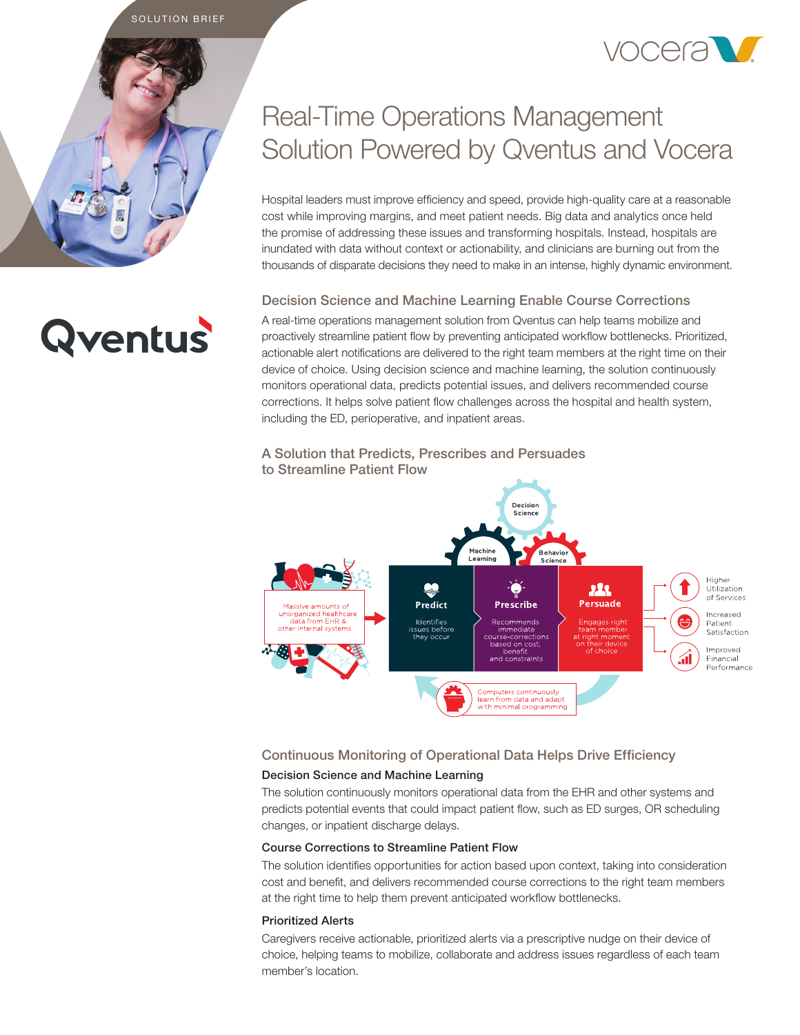SOLUTION BRIEF



## Real-Time Operations Management Solution Powered by Qventus and Vocera

Hospital leaders must improve efficiency and speed, provide high-quality care at a reasonable cost while improving margins, and meet patient needs. Big data and analytics once held the promise of addressing these issues and transforming hospitals. Instead, hospitals are inundated with data without context or actionability, and clinicians are burning out from the thousands of disparate decisions they need to make in an intense, highly dynamic environment.

#### Decision Science and Machine Learning Enable Course Corrections

A real-time operations management solution from Qventus can help teams mobilize and proactively streamline patient flow by preventing anticipated workflow bottlenecks. Prioritized, actionable alert notifications are delivered to the right team members at the right time on their device of choice. Using decision science and machine learning, the solution continuously monitors operational data, predicts potential issues, and delivers recommended course corrections. It helps solve patient flow challenges across the hospital and health system, including the ED, perioperative, and inpatient areas.

#### A Solution that Predicts, Prescribes and Persuades to Streamline Patient Flow



### Continuous Monitoring of Operational Data Helps Drive Efficiency

#### Decision Science and Machine Learning

The solution continuously monitors operational data from the EHR and other systems and predicts potential events that could impact patient flow, such as ED surges, OR scheduling changes, or inpatient discharge delays.

#### Course Corrections to Streamline Patient Flow

The solution identifies opportunities for action based upon context, taking into consideration cost and benefit, and delivers recommended course corrections to the right team members at the right time to help them prevent anticipated workflow bottlenecks.

#### Prioritized Alerts

Caregivers receive actionable, prioritized alerts via a prescriptive nudge on their device of choice, helping teams to mobilize, collaborate and address issues regardless of each team member's location.

# **Qventus**